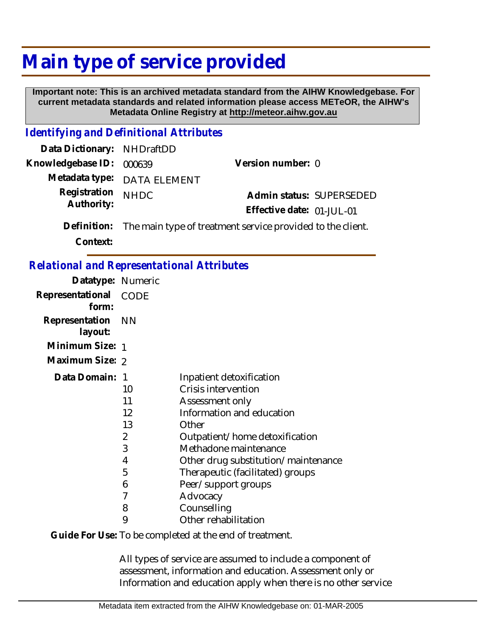## **Main type of service provided**

 **Important note: This is an archived metadata standard from the AIHW Knowledgebase. For current metadata standards and related information please access METeOR, the AIHW's Metadata Online Registry at http://meteor.aihw.gov.au**

## *Identifying and Definitional Attributes*

| Data Dictionary: NHDraftDD |                                                                        |                           |  |
|----------------------------|------------------------------------------------------------------------|---------------------------|--|
| Knowledgebase ID: 000639   |                                                                        | Version number: 0         |  |
|                            | Metadata type: DATA ELEMENT                                            |                           |  |
| Registration               | <b>NHDC</b>                                                            | Admin status: SUPERSEDED  |  |
| Authority:                 |                                                                        | Effective date: 01-JUL-01 |  |
|                            | Definition: The main type of treatment service provided to the client. |                           |  |

**Context:**

## *Relational and Representational Attributes*

| Datatype: Numeric         |                                                    |                                                                                                                                                                                                                                                                       |
|---------------------------|----------------------------------------------------|-----------------------------------------------------------------------------------------------------------------------------------------------------------------------------------------------------------------------------------------------------------------------|
| Representational<br>form: | CODE                                               |                                                                                                                                                                                                                                                                       |
| Representation<br>layout: | - NN                                               |                                                                                                                                                                                                                                                                       |
| Minimum Size: 1           |                                                    |                                                                                                                                                                                                                                                                       |
| Maximum Size: 2           |                                                    |                                                                                                                                                                                                                                                                       |
| Data Domain:              | 1<br>10<br>11<br>12<br>13<br>2<br>3<br>4<br>5<br>6 | Inpatient detoxification<br>Crisis intervention<br>Assessment only<br>Information and education<br>Other<br>Outpatient/home detoxification<br>Methadone maintenance<br>Other drug substitution/maintenance<br>Therapeutic (facilitated) groups<br>Peer/support groups |
|                           | 7                                                  | Advocacy                                                                                                                                                                                                                                                              |
|                           | 8<br>9                                             | Counselling<br>Other rehabilitation                                                                                                                                                                                                                                   |
|                           |                                                    |                                                                                                                                                                                                                                                                       |

Guide For Use: To be completed at the end of treatment.

All types of service are assumed to include a component of assessment, information and education. Assessment only or Information and education apply when there is no other service